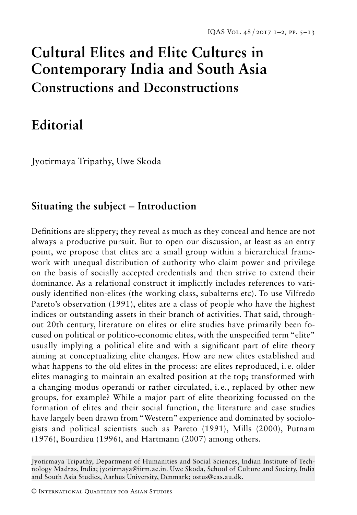# **Cultural Elites and Elite Cultures in Contemporary India and South Asia Constructions and Deconstructions**

## **Editorial**

Jyotirmaya Tripathy, Uwe Skoda

### **Situating the subject – Introduction**

Definitions are slippery; they reveal as much as they conceal and hence are not always a productive pursuit. But to open our discussion, at least as an entry point, we propose that elites are a small group within a hierarchical framework with unequal distribution of authority who claim power and privilege on the basis of socially accepted credentials and then strive to extend their dominance. As a relational construct it implicitly includes references to variously identified non-elites (the working class, subalterns etc). To use Vilfredo Pareto's observation (1991), elites are a class of people who have the highest indices or outstanding assets in their branch of activities. That said, throughout 20th century, literature on elites or elite studies have primarily been focused on political or politico-economic elites, with the unspecified term "elite" usually implying a political elite and with a significant part of elite theory aiming at conceptualizing elite changes. How are new elites established and what happens to the old elites in the process: are elites reproduced, i. e. older elites managing to maintain an exalted position at the top; transformed with a changing modus operandi or rather circulated, i. e., replaced by other new groups, for example? While a major part of elite theorizing focussed on the formation of elites and their social function, the literature and case studies have largely been drawn from "Western" experience and dominated by sociologists and political scientists such as Pareto (1991), Mills (2000), Putnam (1976), Bourdieu (1996), and Hartmann (2007) among others.

Jyotirmaya Tripathy, Department of Humanities and Social Sciences, Indian Institute of Technology Madras, India; jyotirmaya@iitm.ac.in. Uwe Skoda, School of Culture and Society, India and South Asia Studies, Aarhus University, Denmark; ostus@cas.au.dk.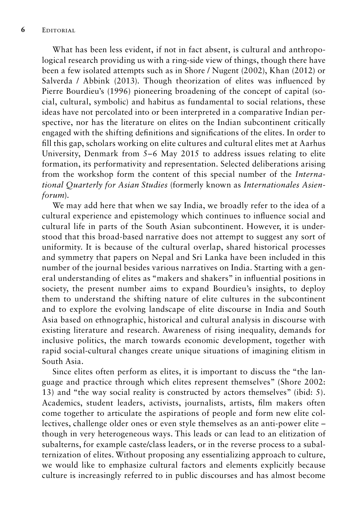What has been less evident, if not in fact absent, is cultural and anthropological research providing us with a ring-side view of things, though there have been a few isolated attempts such as in Shore / Nugent (2002), Khan (2012) or Salverda / Abbink (2013). Though theorization of elites was influenced by Pierre Bourdieu's (1996) pioneering broadening of the concept of capital (social, cultural, symbolic) and habitus as fundamental to social relations, these ideas have not percolated into or been interpreted in a comparative Indian perspective, nor has the literature on elites on the Indian subcontinent critically engaged with the shifting definitions and significations of the elites. In order to fill this gap, scholars working on elite cultures and cultural elites met at Aarhus University, Denmark from 5–6 May 2015 to address issues relating to elite formation, its performativity and representation. Selected deliberations arising from the workshop form the content of this special number of the *International Quarterly for Asian Studies* (formerly known as *Internationales Asienforum*).

We may add here that when we say India, we broadly refer to the idea of a cultural experience and epistemology which continues to influence social and cultural life in parts of the South Asian subcontinent. However, it is understood that this broad-based narrative does not attempt to suggest any sort of uniformity. It is because of the cultural overlap, shared historical processes and symmetry that papers on Nepal and Sri Lanka have been included in this number of the journal besides various narratives on India. Starting with a general understanding of elites as "makers and shakers" in influential positions in society, the present number aims to expand Bourdieu's insights, to deploy them to understand the shifting nature of elite cultures in the subcontinent and to explore the evolving landscape of elite discourse in India and South Asia based on ethnographic, historical and cultural analysis in discourse with existing literature and research. Awareness of rising inequality, demands for inclusive politics, the march towards economic development, together with rapid social-cultural changes create unique situations of imagining elitism in South Asia.

Since elites often perform as elites, it is important to discuss the "the language and practice through which elites represent themselves" (Shore 2002: 13) and "the way social reality is constructed by actors themselves" (ibid: 5). Academics, student leaders, activists, journalists, artists, film makers often come together to articulate the aspirations of people and form new elite collectives, challenge older ones or even style themselves as an anti-power elite – though in very heterogeneous ways. This leads or can lead to an elitization of subalterns, for example caste/class leaders, or in the reverse process to a subalternization of elites. Without proposing any essentializing approach to culture, we would like to emphasize cultural factors and elements explicitly because culture is increasingly referred to in public discourses and has almost become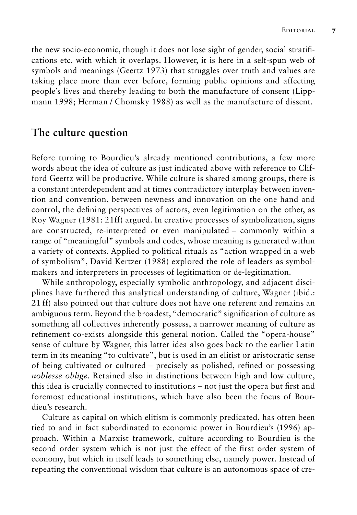the new socio-economic, though it does not lose sight of gender, social stratifications etc. with which it overlaps. However, it is here in a self-spun web of symbols and meanings (Geertz 1973) that struggles over truth and values are taking place more than ever before, forming public opinions and affecting people's lives and thereby leading to both the manufacture of consent (Lippmann 1998; Herman / Chomsky 1988) as well as the manufacture of dissent.

#### **The culture question**

Before turning to Bourdieu's already mentioned contributions, a few more words about the idea of culture as just indicated above with reference to Clifford Geertz will be productive. While culture is shared among groups, there is a constant interdependent and at times contradictory interplay between invention and convention, between newness and innovation on the one hand and control, the defining perspectives of actors, even legitimation on the other, as Roy Wagner (1981: 21ff) argued. In creative processes of symbolization, signs are constructed, re-interpreted or even manipulated – commonly within a range of "meaningful" symbols and codes, whose meaning is generated within a variety of contexts. Applied to political rituals as "action wrapped in a web of symbolism", David Kertzer (1988) explored the role of leaders as symbolmakers and interpreters in processes of legitimation or de-legitimation.

While anthropology, especially symbolic anthropology, and adjacent disciplines have furthered this analytical understanding of culture, Wagner (ibid.: 21 ff) also pointed out that culture does not have one referent and remains an ambiguous term. Beyond the broadest, "democratic" signification of culture as something all collectives inherently possess, a narrower meaning of culture as refinement co-exists alongside this general notion. Called the "opera-house" sense of culture by Wagner, this latter idea also goes back to the earlier Latin term in its meaning "to cultivate", but is used in an elitist or aristocratic sense of being cultivated or cultured – precisely as polished, refined or possessing *noblesse oblige*. Retained also in distinctions between high and low culture, this idea is crucially connected to institutions – not just the opera but first and foremost educational institutions, which have also been the focus of Bourdieu's research.

Culture as capital on which elitism is commonly predicated, has often been tied to and in fact subordinated to economic power in Bourdieu's (1996) approach. Within a Marxist framework, culture according to Bourdieu is the second order system which is not just the effect of the first order system of economy, but which in itself leads to something else, namely power. Instead of repeating the conventional wisdom that culture is an autonomous space of cre-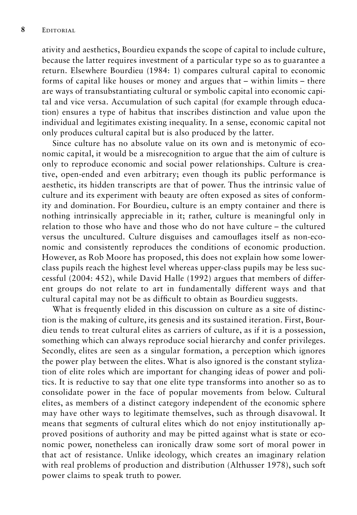ativity and aesthetics, Bourdieu expands the scope of capital to include culture, because the latter requires investment of a particular type so as to guarantee a return. Elsewhere Bourdieu (1984: 1) compares cultural capital to economic forms of capital like houses or money and argues that – within limits – there are ways of transubstantiating cultural or symbolic capital into economic capital and vice versa. Accumulation of such capital (for example through education) ensures a type of habitus that inscribes distinction and value upon the individual and legitimates existing inequality. In a sense, economic capital not only produces cultural capital but is also produced by the latter.

Since culture has no absolute value on its own and is metonymic of economic capital, it would be a misrecognition to argue that the aim of culture is only to reproduce economic and social power relationships. Culture is creative, open-ended and even arbitrary; even though its public performance is aesthetic, its hidden transcripts are that of power. Thus the intrinsic value of culture and its experiment with beauty are often exposed as sites of conformity and domination. For Bourdieu, culture is an empty container and there is nothing intrinsically appreciable in it; rather, culture is meaningful only in relation to those who have and those who do not have culture – the cultured versus the uncultured. Culture disguises and camouflages itself as non-economic and consistently reproduces the conditions of economic production. However, as Rob Moore has proposed, this does not explain how some lowerclass pupils reach the highest level whereas upper-class pupils may be less successful (2004: 452), while David Halle (1992) argues that members of different groups do not relate to art in fundamentally different ways and that cultural capital may not be as difficult to obtain as Bourdieu suggests.

What is frequently elided in this discussion on culture as a site of distinction is the making of culture, its genesis and its sustained iteration. First, Bourdieu tends to treat cultural elites as carriers of culture, as if it is a possession, something which can always reproduce social hierarchy and confer privileges. Secondly, elites are seen as a singular formation, a perception which ignores the power play between the elites. What is also ignored is the constant stylization of elite roles which are important for changing ideas of power and politics. It is reductive to say that one elite type transforms into another so as to consolidate power in the face of popular movements from below. Cultural elites, as members of a distinct category independent of the economic sphere may have other ways to legitimate themselves, such as through disavowal. It means that segments of cultural elites which do not enjoy institutionally approved positions of authority and may be pitted against what is state or economic power, nonetheless can ironically draw some sort of moral power in that act of resistance. Unlike ideology, which creates an imaginary relation with real problems of production and distribution (Althusser 1978), such soft power claims to speak truth to power.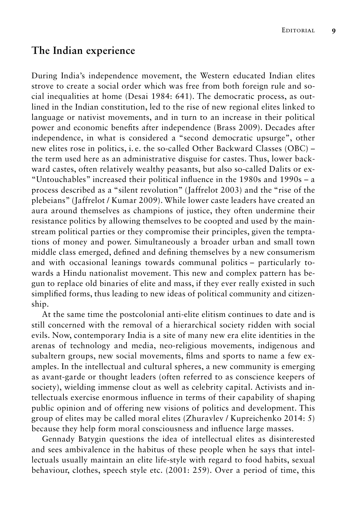#### **The Indian experience**

During India's independence movement, the Western educated Indian elites strove to create a social order which was free from both foreign rule and social inequalities at home (Desai 1984: 641). The democratic process, as outlined in the Indian constitution, led to the rise of new regional elites linked to language or nativist movements, and in turn to an increase in their political power and economic benefits after independence (Brass 2009). Decades after independence, in what is considered a "second democratic upsurge", other new elites rose in politics, i. e. the so-called Other Backward Classes (OBC) – the term used here as an administrative disguise for castes. Thus, lower backward castes, often relatively wealthy peasants, but also so-called Dalits or ex- "Untouchables" increased their political influence in the 1980s and 1990s – a process described as a "silent revolution" (Jaffrelot 2003) and the "rise of the plebeians" (Jaffrelot / Kumar 2009). While lower caste leaders have created an aura around themselves as champions of justice, they often undermine their resistance politics by allowing themselves to be coopted and used by the mainstream political parties or they compromise their principles, given the temptations of money and power. Simultaneously a broader urban and small town middle class emerged, defined and defining themselves by a new consumerism and with occasional leanings towards communal politics – particularly towards a Hindu nationalist movement. This new and complex pattern has begun to replace old binaries of elite and mass, if they ever really existed in such simplified forms, thus leading to new ideas of political community and citizenship.

At the same time the postcolonial anti-elite elitism continues to date and is still concerned with the removal of a hierarchical society ridden with social evils. Now, contemporary India is a site of many new era elite identities in the arenas of technology and media, neo-religious movements, indigenous and subaltern groups, new social movements, films and sports to name a few examples. In the intellectual and cultural spheres, a new community is emerging as avant-garde or thought leaders (often referred to as conscience keepers of society), wielding immense clout as well as celebrity capital. Activists and intellectuals exercise enormous influence in terms of their capability of shaping public opinion and of offering new visions of politics and development. This group of elites may be called moral elites (Zhuravlev / Kupreichenko 2014: 5) because they help form moral consciousness and influence large masses.

Gennady Batygin questions the idea of intellectual elites as disinterested and sees ambivalence in the habitus of these people when he says that intellectuals usually maintain an elite life-style with regard to food habits, sexual behaviour, clothes, speech style etc. (2001: 259). Over a period of time, this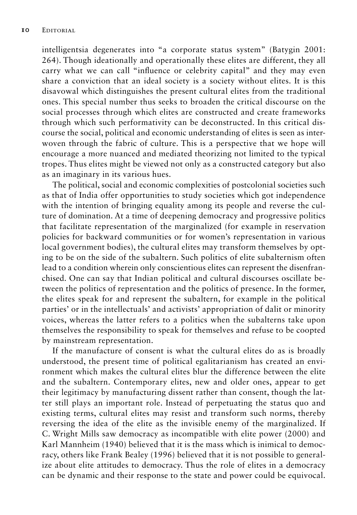intelligentsia degenerates into "a corporate status system" (Batygin 2001: 264). Though ideationally and operationally these elites are different, they all carry what we can call "influence or celebrity capital" and they may even share a conviction that an ideal society is a society without elites. It is this disavowal which distinguishes the present cultural elites from the traditional ones. This special number thus seeks to broaden the critical discourse on the social processes through which elites are constructed and create frameworks through which such performativity can be deconstructed. In this critical discourse the social, political and economic understanding of elites is seen as interwoven through the fabric of culture. This is a perspective that we hope will encourage a more nuanced and mediated theorizing not limited to the typical tropes. Thus elites might be viewed not only as a constructed category but also as an imaginary in its various hues.

The political, social and economic complexities of postcolonial societies such as that of India offer opportunities to study societies which got independence with the intention of bringing equality among its people and reverse the culture of domination. At a time of deepening democracy and progressive politics that facilitate representation of the marginalized (for example in reservation policies for backward communities or for women's representation in various local government bodies), the cultural elites may transform themselves by opting to be on the side of the subaltern. Such politics of elite subalternism often lead to a condition wherein only conscientious elites can represent the disenfranchised. One can say that Indian political and cultural discourses oscillate between the politics of representation and the politics of presence. In the former, the elites speak for and represent the subaltern, for example in the political parties' or in the intellectuals' and activists' appropriation of dalit or minority voices, whereas the latter refers to a politics when the subalterns take upon themselves the responsibility to speak for themselves and refuse to be coopted by mainstream representation.

If the manufacture of consent is what the cultural elites do as is broadly understood, the present time of political egalitarianism has created an environment which makes the cultural elites blur the difference between the elite and the subaltern. Contemporary elites, new and older ones, appear to get their legitimacy by manufacturing dissent rather than consent, though the latter still plays an important role. Instead of perpetuating the status quo and existing terms, cultural elites may resist and transform such norms, thereby reversing the idea of the elite as the invisible enemy of the marginalized. If C. Wright Mills saw democracy as incompatible with elite power (2000) and Karl Mannheim (1940) believed that it is the mass which is inimical to democracy, others like Frank Bealey (1996) believed that it is not possible to generalize about elite attitudes to democracy. Thus the role of elites in a democracy can be dynamic and their response to the state and power could be equivocal.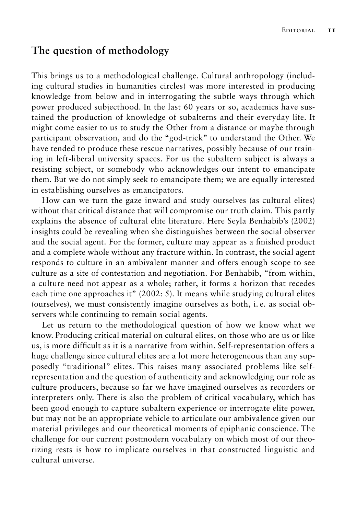#### **The question of methodology**

This brings us to a methodological challenge. Cultural anthropology (including cultural studies in humanities circles) was more interested in producing knowledge from below and in interrogating the subtle ways through which power produced subjecthood. In the last 60 years or so, academics have sustained the production of knowledge of subalterns and their everyday life. It might come easier to us to study the Other from a distance or maybe through participant observation, and do the "god-trick" to understand the Other. We have tended to produce these rescue narratives, possibly because of our training in left-liberal university spaces. For us the subaltern subject is always a resisting subject, or somebody who acknowledges our intent to emancipate them. But we do not simply seek to emancipate them; we are equally interested in establishing ourselves as emancipators.

How can we turn the gaze inward and study ourselves (as cultural elites) without that critical distance that will compromise our truth claim. This partly explains the absence of cultural elite literature. Here Seyla Benhabib's (2002) insights could be revealing when she distinguishes between the social observer and the social agent. For the former, culture may appear as a finished product and a complete whole without any fracture within. In contrast, the social agent responds to culture in an ambivalent manner and offers enough scope to see culture as a site of contestation and negotiation. For Benhabib, "from within, a culture need not appear as a whole; rather, it forms a horizon that recedes each time one approaches it" (2002: 5). It means while studying cultural elites (ourselves), we must consistently imagine ourselves as both, i. e. as social observers while continuing to remain social agents.

Let us return to the methodological question of how we know what we know. Producing critical material on cultural elites, on those who are us or like us, is more difficult as it is a narrative from within. Self-representation offers a huge challenge since cultural elites are a lot more heterogeneous than any supposedly "traditional" elites. This raises many associated problems like selfrepresentation and the question of authenticity and acknowledging our role as culture producers, because so far we have imagined ourselves as recorders or interpreters only. There is also the problem of critical vocabulary, which has been good enough to capture subaltern experience or interrogate elite power, but may not be an appropriate vehicle to articulate our ambivalence given our material privileges and our theoretical moments of epiphanic conscience. The challenge for our current postmodern vocabulary on which most of our theorizing rests is how to implicate ourselves in that constructed linguistic and cultural universe.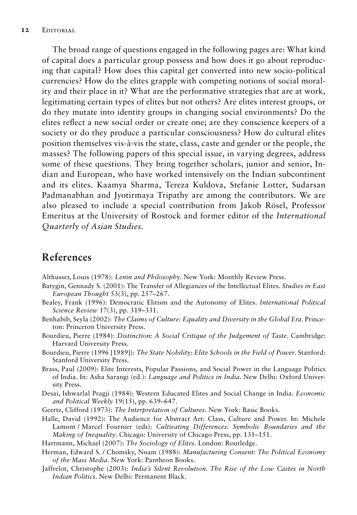The broad range of questions engaged in the following pages are: What kind of capital does a particular group possess and how does it go about reproducing that capital? How does this capital get converted into new socio-political currencies? How do the elites grapple with competing notions of social morality and their place in it? What are the performative strategies that are at work, legitimating certain types of elites but not others? Are elites interest groups, or do they mutate into identity groups in changing social environments? Do the elites reflect a new social order or create one; are they conscience keepers of a society or do they produce a particular consciousness? How do cultural elites position themselves vis-à-vis the state, class, caste and gender or the people, the masses? The following papers of this special issue, in varying degrees, address some of these questions. They bring together scholars, junior and senior, Indian and European, who have worked intensively on the Indian subcontinent and its elites. Kaamya Sharma, Tereza Kuldova, Stefanie Lotter, Sudarsan Padmanabhan and Jyotirmaya Tripathy are among the contributors. We are also pleased to include a special contribution from Jakob Rösel, Professor Emeritus at the University of Rostock and former editor of the *International Quarterly of Asian Studies*.

#### **References**

Althusser, Louis (1978): *Lenin and Philosophy*. New York: Monthly Review Press.

- Batygin, Gennady S. (2001): The Transfer of Allegiances of the Intellectual Elites. *Studies in East European Thought* 53(3), pp. 257–267.
- Bealey, Frank (1996): Democratic Elitism and the Autonomy of Elites. *International Political Science Review* 17(3), pp. 319–331.
- Benhabib, Seyla (2002): *The Claims of Culture: Equality and Diversity in the Global Era*. Princeton: Princeton University Press.
- Bourdieu, Pierre (1984): *Distinction: A Social Critique of the Judgement of Taste*. Cambridge: Harvard University Press.
- Bourdieu, Pierre (1996 [1989]): *The State Nobility: Elite Schools in the Field of Power*. Stanford: Stanford University Press.
- Brass, Paul (2009): Elite Interests, Popular Passions, and Social Power in the Language Politics of India. In: Asha Sarangi (ed.): *Language and Politics in India*. New Delhi: Oxford University Press.
- Desai, Ishwarlal Pragji (1984): Western Educated Elites and Social Change in India. *Economic and Political Weekly* 19(15), pp. 639–647.
- Geertz, Clifford (1973): *The Interpretation of Cultures*. New York: Basic Books.
- Halle, David (1992): The Audience for Abstract Art: Class, Culture and Power. In: Michele Lamont / Marcel Fournier (eds): *Cultivating Differences: Symbolic Boundaries and the Making of Inequality*. Chicago: University of Chicago Press, pp. 131–151.
- Hartmann, Michael (2007): *The Sociology of Elites*. London: Routledge.
- Herman, Edward S. / Chomsky, Noam (1988): *Manufacturing Consent: The Political Economy of the Mass Media*. New York: Pantheon Books.
- Jaffrelot, Christophe (2003): *India's Silent Revolution. The Rise of the Low Castes in North Indian Politics*. New Delhi: Permanent Black.